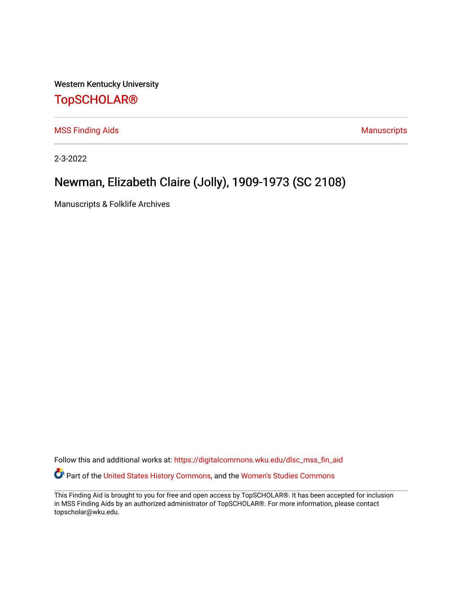Western Kentucky University

## [TopSCHOLAR®](https://digitalcommons.wku.edu/)

[MSS Finding Aids](https://digitalcommons.wku.edu/dlsc_mss_fin_aid) **MSS** Finding Aids **Manuscripts** Manuscripts

2-3-2022

# Newman, Elizabeth Claire (Jolly), 1909-1973 (SC 2108)

Manuscripts & Folklife Archives

Follow this and additional works at: [https://digitalcommons.wku.edu/dlsc\\_mss\\_fin\\_aid](https://digitalcommons.wku.edu/dlsc_mss_fin_aid?utm_source=digitalcommons.wku.edu%2Fdlsc_mss_fin_aid%2F4994&utm_medium=PDF&utm_campaign=PDFCoverPages)  Part of the [United States History Commons,](http://network.bepress.com/hgg/discipline/495?utm_source=digitalcommons.wku.edu%2Fdlsc_mss_fin_aid%2F4994&utm_medium=PDF&utm_campaign=PDFCoverPages) and the [Women's Studies Commons](http://network.bepress.com/hgg/discipline/561?utm_source=digitalcommons.wku.edu%2Fdlsc_mss_fin_aid%2F4994&utm_medium=PDF&utm_campaign=PDFCoverPages) 

This Finding Aid is brought to you for free and open access by TopSCHOLAR®. It has been accepted for inclusion in MSS Finding Aids by an authorized administrator of TopSCHOLAR®. For more information, please contact topscholar@wku.edu.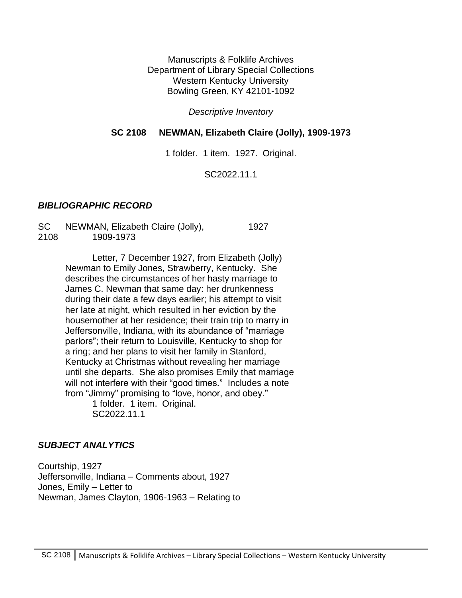Manuscripts & Folklife Archives Department of Library Special Collections Western Kentucky University Bowling Green, KY 42101-1092

*Descriptive Inventory*

#### **SC 2108 NEWMAN, Elizabeth Claire (Jolly), 1909-1973**

1 folder. 1 item. 1927. Original.

SC2022.11.1

#### *BIBLIOGRAPHIC RECORD*

SC NEWMAN, Elizabeth Claire (Jolly), 1927 2108 1909-1973

> Letter, 7 December 1927, from Elizabeth (Jolly) Newman to Emily Jones, Strawberry, Kentucky. She describes the circumstances of her hasty marriage to James C. Newman that same day: her drunkenness during their date a few days earlier; his attempt to visit her late at night, which resulted in her eviction by the housemother at her residence; their train trip to marry in Jeffersonville, Indiana, with its abundance of "marriage parlors"; their return to Louisville, Kentucky to shop for a ring; and her plans to visit her family in Stanford, Kentucky at Christmas without revealing her marriage until she departs. She also promises Emily that marriage will not interfere with their "good times." Includes a note from "Jimmy" promising to "love, honor, and obey."

1 folder. 1 item. Original. SC2022.11.1

#### *SUBJECT ANALYTICS*

Courtship, 1927 Jeffersonville, Indiana – Comments about, 1927 Jones, Emily – Letter to Newman, James Clayton, 1906-1963 – Relating to